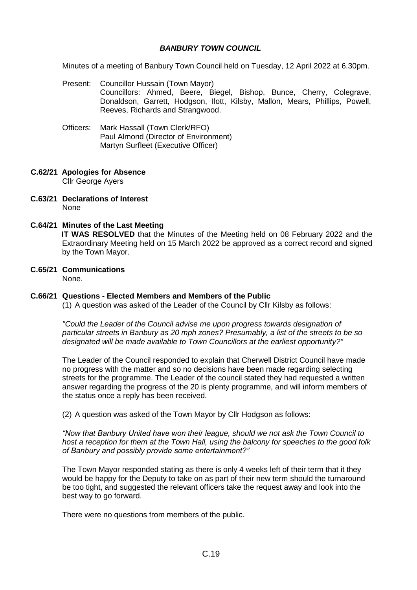## *BANBURY TOWN COUNCIL*

Minutes of a meeting of Banbury Town Council held on Tuesday, 12 April 2022 at 6.30pm.

- Present: Councillor Hussain (Town Mayor) Councillors: Ahmed, Beere, Biegel, Bishop, Bunce, Cherry, Colegrave, Donaldson, Garrett, Hodgson, Ilott, Kilsby, Mallon, Mears, Phillips, Powell, Reeves, Richards and Strangwood.
- Officers: Mark Hassall (Town Clerk/RFO) Paul Almond (Director of Environment) Martyn Surfleet (Executive Officer)

#### **C.62/21 Apologies for Absence**  Cllr George Ayers

**C.63/21 Declarations of Interest** None

## **C.64/21 Minutes of the Last Meeting**

**IT WAS RESOLVED** that the Minutes of the Meeting held on 08 February 2022 and the Extraordinary Meeting held on 15 March 2022 be approved as a correct record and signed by the Town Mayor.

# **C.65/21 Communications**

None.

## **C.66/21 Questions - Elected Members and Members of the Public**

(1) A question was asked of the Leader of the Council by Cllr Kilsby as follows:

*"Could the Leader of the Council advise me upon progress towards designation of particular streets in Banbury as 20 mph zones? Presumably, a list of the streets to be so designated will be made available to Town Councillors at the earliest opportunity?"*

The Leader of the Council responded to explain that Cherwell District Council have made no progress with the matter and so no decisions have been made regarding selecting streets for the programme. The Leader of the council stated they had requested a written answer regarding the progress of the 20 is plenty programme, and will inform members of the status once a reply has been received.

(2) A question was asked of the Town Mayor by Cllr Hodgson as follows:

*"Now that Banbury United have won their league, should we not ask the Town Council to host a reception for them at the Town Hall, using the balcony for speeches to the good folk of Banbury and possibly provide some entertainment?"*

The Town Mayor responded stating as there is only 4 weeks left of their term that it they would be happy for the Deputy to take on as part of their new term should the turnaround be too tight, and suggested the relevant officers take the request away and look into the best way to go forward.

There were no questions from members of the public.